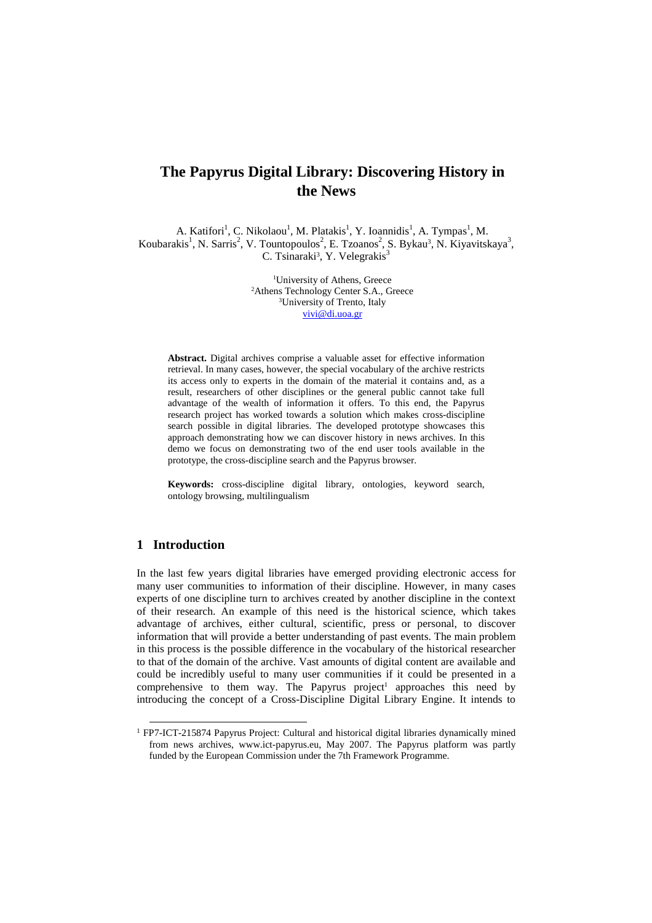# **The Papyrus Digital Library: Discovering History in the News**

A. Katifori<sup>1</sup>, C. Nikolaou<sup>1</sup>, M. Platakis<sup>1</sup>, Y. Ioannidis<sup>1</sup>, A. Tympas<sup>1</sup>, M. Koubarakis<sup>1</sup>, N. Sarris<sup>2</sup>, V. Tountopoulos<sup>2</sup>, E. Tzoanos<sup>2</sup>, S. Bykau<sup>3</sup>, N. Kiyavitskaya<sup>3</sup>, C. Tsinaraki<sup>3</sup>, Y. Velegrakis<sup>3</sup>

> University of Athens, Greece Athens Technology Center S.A., Greece University of Trento, Italy vivi@di.uoa.gr

**Abstract.** Digital archives comprise a valuable asset for effective information retrieval. In many cases, however, the special vocabulary of the archive restricts its access only to experts in the domain of the material it contains and, as a result, researchers of other disciplines or the general public cannot take full advantage of the wealth of information it offers. To this end, the Papyrus research project has worked towards a solution which makes cross-discipline search possible in digital libraries. The developed prototype showcases this approach demonstrating how we can discover history in news archives. In this demo we focus on demonstrating two of the end user tools available in the prototype, the cross-discipline search and the Papyrus browser.

**Keywords:** cross-discipline digital library, ontologies, keyword search, ontology browsing, multilingualism

### **1 Introduction**

 $\overline{a}$ 

In the last few years digital libraries have emerged providing electronic access for many user communities to information of their discipline. However, in many cases experts of one discipline turn to archives created by another discipline in the context of their research. An example of this need is the historical science, which takes advantage of archives, either cultural, scientific, press or personal, to discover information that will provide a better understanding of past events. The main problem in this process is the possible difference in the vocabulary of the historical researcher to that of the domain of the archive. Vast amounts of digital content are available and could be incredibly useful to many user communities if it could be presented in a comprehensive to them way. The Papyrus project<sup>1</sup> approaches this need by introducing the concept of a Cross-Discipline Digital Library Engine. It intends to

<sup>&</sup>lt;sup>1</sup> FP7-ICT-215874 Papyrus Project: Cultural and historical digital libraries dynamically mined from news archives, www.ict-papyrus.eu, May 2007. The Papyrus platform was partly funded by the European Commission under the 7th Framework Programme.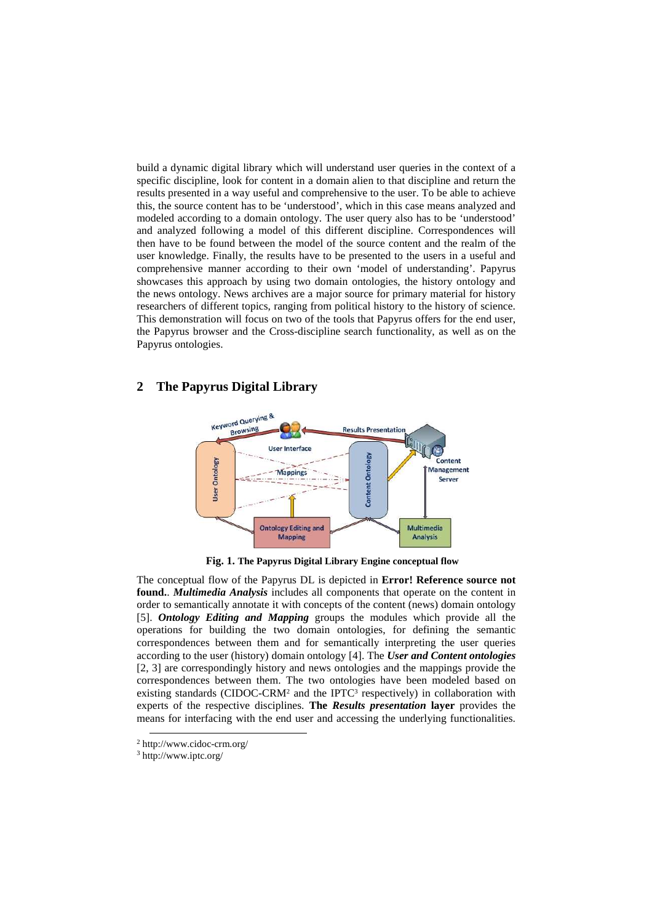build a dynamic digital library which will understand user queries in the context of a specific discipline, look for content in a domain alien to that discipline and return the results presented in a way useful and comprehensive to the user. To be able to achieve this, the source content has to be 'understood', which in this case means analyzed and modeled according to a domain ontology. The user query also has to be 'understood' and analyzed following a model of this different discipline. Correspondences will then have to be found between the model of the source content and the realm of the user knowledge. Finally, the results have to be presented to the users in a useful and comprehensive manner according to their own 'model of understanding'. Papyrus showcases this approach by using two domain ontologies, the history ontology and the news ontology. News archives are a major source for primary material for history researchers of different topics, ranging from political history to the history of science. This demonstration will focus on two of the tools that Papyrus offers for the end user, the Papyrus browser and the Cross-discipline search functionality, as well as on the Papyrus ontologies.

#### **2 The Papyrus Digital Library**



**Fig. 1. The Papyrus Digital Library Engine conceptual flow**

The conceptual flow of the Papyrus DL is depicted in **Error! Reference source not found.**. *Multimedia Analysis* includes all components that operate on the content in order to semantically annotate it with concepts of the content (news) domain ontology [5]. *Ontology Editing and Mapping* groups the modules which provide all the operations for building the two domain ontologies, for defining the semantic correspondences between them and for semantically interpreting the user queries according to the user (history) domain ontology [4]. The *User and Content ontologies* [2, 3] are correspondingly history and news ontologies and the mappings provide the correspondences between them. The two ontologies have been modeled based on existing standards (CIDOC-CRM<sup>2</sup> and the IPTC<sup>3</sup> respectively) in collaboration with experts of the respective disciplines. **The** *Results presentation* **layer** provides the means for interfacing with the end user and accessing the underlying functionalities.

 $\overline{a}$ 

<sup>2</sup> http://www.cidoc-crm.org/

<sup>3</sup> http://www.iptc.org/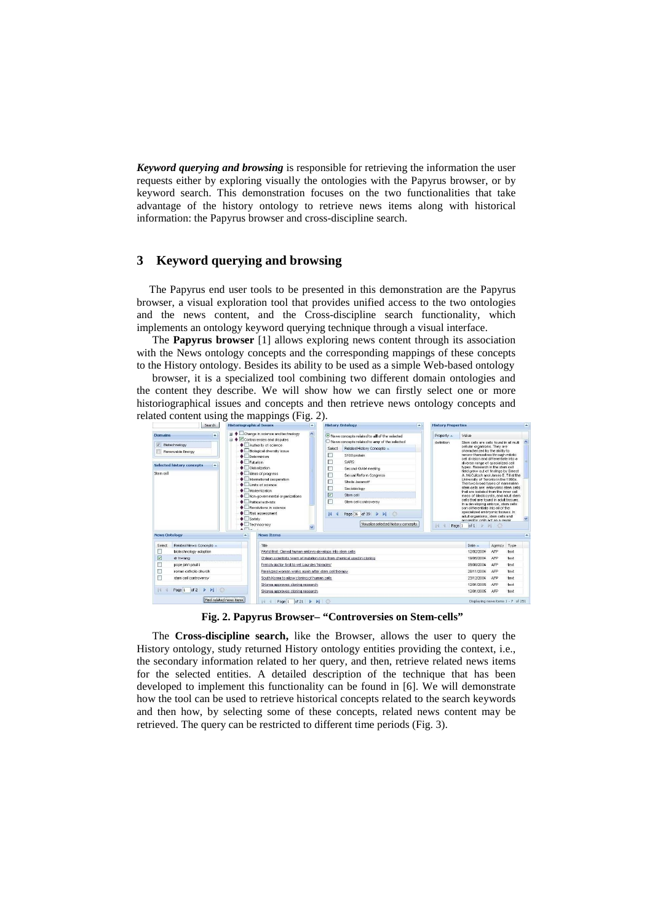*Keyword querying and browsing* is responsible for retrieving the information the user requests either by exploring visually the ontologies with the Papyrus browser, or by keyword search. This demonstration focuses on the two functionalities that take advantage of the history ontology to retrieve news items along with historical information: the Papyrus browser and cross-discipline search.

#### **3 Keyword querying and browsing**

The Papyrus end user tools to be presented in this demonstration are the Papyrus browser, a visual exploration tool that provides unified access to the two ontologies and the news content, and the Cross-discipline search functionality, which implements an ontology keyword querying technique through a visual interface.

The **Papyrus browser** [1] allows exploring news content through its association with the News ontology concepts and the corresponding mappings of these concepts to the History ontology. Besides its ability to be used as a simple Web-based ontology

browser, it is a specialized tool combining two different domain ontologies and the content they describe. We will show how we can firstly select one or more historiographical issues and concepts and then retrieve news ontology concepts and related content using the mappings  $(Fig. 2)$ .



**Fig. 2. Papyrus Browser– "Controversies on Stem-cells"** 

The **Cross-discipline search,** like the Browser, allows the user to query the History ontology, study returned History ontology entities providing the context, i.e., the secondary information related to her query, and then, retrieve related news items for the selected entities. A detailed description of the technique that has been developed to implement this functionality can be found in [6]. We will demonstrate how the tool can be used to retrieve historical concepts related to the search keywords and then how, by selecting some of these concepts, related news content may be retrieved. The query can be restricted to different time periods (Fig. 3).